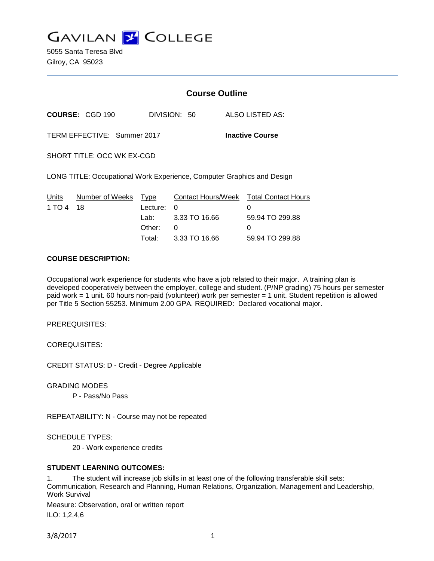

5055 Santa Teresa Blvd Gilroy, CA 95023

|                                                                        |                        | <b>Course Outline</b> |               |                                             |
|------------------------------------------------------------------------|------------------------|-----------------------|---------------|---------------------------------------------|
|                                                                        | <b>COURSE: CGD 190</b> |                       | DIVISION: 50  | ALSO LISTED AS:                             |
| TERM EFFECTIVE: Summer 2017<br><b>Inactive Course</b>                  |                        |                       |               |                                             |
| SHORT TITLE: OCC WK EX-CGD                                             |                        |                       |               |                                             |
| LONG TITLE: Occupational Work Experience, Computer Graphics and Design |                        |                       |               |                                             |
| Units<br>1 TO 4                                                        | Number of Weeks<br>18  | Type<br>Lecture:      | 0             | Contact Hours/Week Total Contact Hours<br>0 |
|                                                                        |                        | Lab:                  | 3.33 TO 16.66 | 59.94 TO 299.88                             |
|                                                                        |                        | Other:                | 0             | 0                                           |
|                                                                        |                        | Total:                | 3.33 TO 16.66 | 59.94 TO 299.88                             |

### **COURSE DESCRIPTION:**

Occupational work experience for students who have a job related to their major. A training plan is developed cooperatively between the employer, college and student. (P/NP grading) 75 hours per semester paid work = 1 unit. 60 hours non-paid (volunteer) work per semester = 1 unit. Student repetition is allowed per Title 5 Section 55253. Minimum 2.00 GPA. REQUIRED: Declared vocational major.

PREREQUISITES:

COREQUISITES:

CREDIT STATUS: D - Credit - Degree Applicable

GRADING MODES

P - Pass/No Pass

REPEATABILITY: N - Course may not be repeated

SCHEDULE TYPES:

20 - Work experience credits

## **STUDENT LEARNING OUTCOMES:**

1. The student will increase job skills in at least one of the following transferable skill sets: Communication, Research and Planning, Human Relations, Organization, Management and Leadership, Work Survival

Measure: Observation, oral or written report ILO: 1,2,4,6

3/8/2017 1